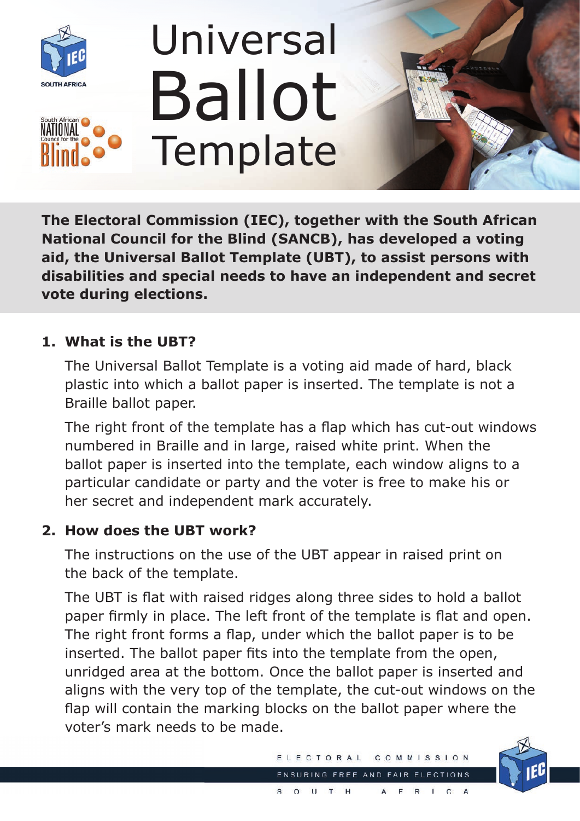

# Universal **Template** Ballot



**The Electoral Commission (IEC), together with the South African National Council for the Blind (SANCB), has developed a voting aid, the Universal Ballot Template (UBT), to assist persons with disabilities and special needs to have an independent and secret vote during elections.**

## **1. What is the UBT?**

 The Universal Ballot Template is a voting aid made of hard, black plastic into which a ballot paper is inserted. The template is not a Braille ballot paper.

 The right front of the template has a flap which has cut-out windows numbered in Braille and in large, raised white print. When the ballot paper is inserted into the template, each window aligns to a particular candidate or party and the voter is free to make his or her secret and independent mark accurately.

## **2. How does the UBT work?**

 The instructions on the use of the UBT appear in raised print on the back of the template.

 The UBT is flat with raised ridges along three sides to hold a ballot paper firmly in place. The left front of the template is flat and open. The right front forms a flap, under which the ballot paper is to be inserted. The ballot paper fits into the template from the open, unridged area at the bottom. Once the ballot paper is inserted and aligns with the very top of the template, the cut-out windows on the flap will contain the marking blocks on the ballot paper where the voter's mark needs to be made.

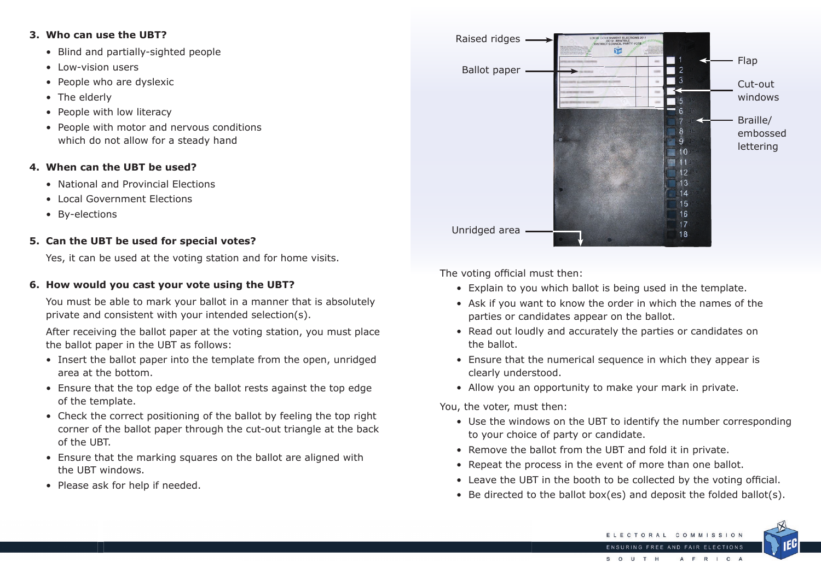#### **3. Who can use the UBT?**

- Blind and partially-sighted people
- Low-vision users
- People who are dyslexic
- The elderly
- People with low literacy
- People with motor and nervous conditions which do not allow for a steady hand

## **4. When can the UBT be used?**

- National and Provincial Elections
- Local Government Elections
- By-elections

## **5. Can the UBT be used for special votes?**

Yes, it can be used at the voting station and for home visits.

#### **6. How would you cast your vote using the UBT?**

 You must be able to mark your ballot in a manner that is absolutely private and consistent with your intended selection(s).

 After receiving the ballot paper at the voting station, you must place the ballot paper in the UBT as follows:

- Insert the ballot paper into the template from the open, unridged area at the bottom.
- Ensure that the top edge of the ballot rests against the top edge of the template.
- Check the correct positioning of the ballot by feeling the top right corner of the ballot paper through the cut-out triangle at the back of the UBT.
- Ensure that the marking squares on the ballot are aligned with the UBT windows.
- Please ask for help if needed.

The voting official must then:

- Explain to you which ballot is being used in the template.
- Ask if you want to know the order in which the names of the parties or candidates appear on the ballot.
- Read out loudly and accurately the parties or candidates on the ballot.
- Ensure that the numerical sequence in which they appear is clearly understood.
- Allow you an opportunity to make your mark in private.

You, the voter, must then:

• Use the windows on the UBT to identify the number corresponding



- to your choice of party or candidate.
- Remove the ballot from the UBT and fold it in private.
- Repeat the process in the event of more than one ballot.
- Leave the UBT in the booth to be collected by the voting official.
- Be directed to the ballot box(es) and deposit the folded ballot(s).



Braille/ embossed lettering

Cut-out windows